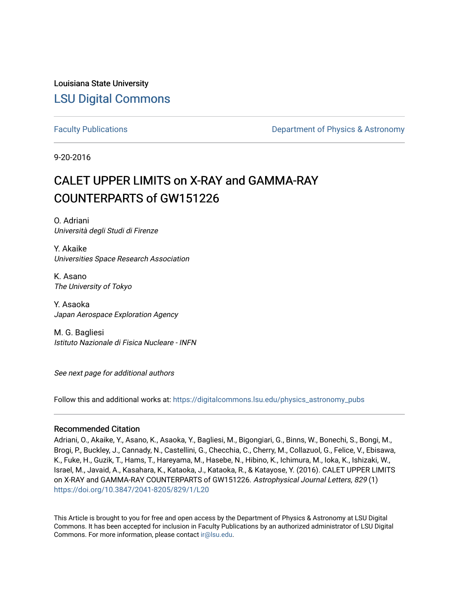Louisiana State University [LSU Digital Commons](https://digitalcommons.lsu.edu/)

[Faculty Publications](https://digitalcommons.lsu.edu/physics_astronomy_pubs) **Example 2** Constant Department of Physics & Astronomy

9-20-2016

# CALET UPPER LIMITS on X-RAY and GAMMA-RAY COUNTERPARTS of GW151226

O. Adriani Università degli Studi di Firenze

Y. Akaike Universities Space Research Association

K. Asano The University of Tokyo

Y. Asaoka Japan Aerospace Exploration Agency

M. G. Bagliesi Istituto Nazionale di Fisica Nucleare - INFN

See next page for additional authors

Follow this and additional works at: [https://digitalcommons.lsu.edu/physics\\_astronomy\\_pubs](https://digitalcommons.lsu.edu/physics_astronomy_pubs?utm_source=digitalcommons.lsu.edu%2Fphysics_astronomy_pubs%2F661&utm_medium=PDF&utm_campaign=PDFCoverPages) 

## Recommended Citation

Adriani, O., Akaike, Y., Asano, K., Asaoka, Y., Bagliesi, M., Bigongiari, G., Binns, W., Bonechi, S., Bongi, M., Brogi, P., Buckley, J., Cannady, N., Castellini, G., Checchia, C., Cherry, M., Collazuol, G., Felice, V., Ebisawa, K., Fuke, H., Guzik, T., Hams, T., Hareyama, M., Hasebe, N., Hibino, K., Ichimura, M., Ioka, K., Ishizaki, W., Israel, M., Javaid, A., Kasahara, K., Kataoka, J., Kataoka, R., & Katayose, Y. (2016). CALET UPPER LIMITS on X-RAY and GAMMA-RAY COUNTERPARTS of GW151226. Astrophysical Journal Letters, 829 (1) <https://doi.org/10.3847/2041-8205/829/1/L20>

This Article is brought to you for free and open access by the Department of Physics & Astronomy at LSU Digital Commons. It has been accepted for inclusion in Faculty Publications by an authorized administrator of LSU Digital Commons. For more information, please contact [ir@lsu.edu](mailto:ir@lsu.edu).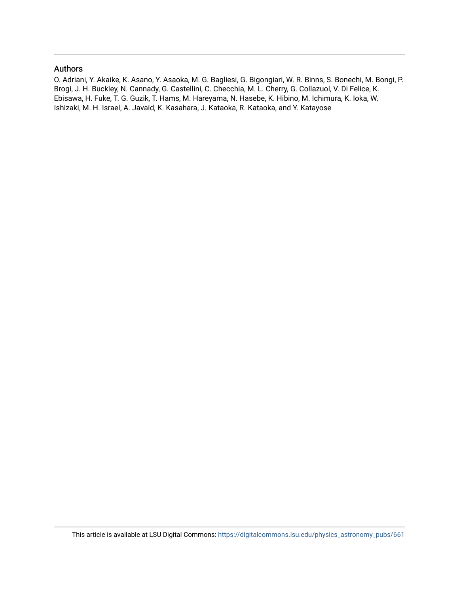# Authors

O. Adriani, Y. Akaike, K. Asano, Y. Asaoka, M. G. Bagliesi, G. Bigongiari, W. R. Binns, S. Bonechi, M. Bongi, P. Brogi, J. H. Buckley, N. Cannady, G. Castellini, C. Checchia, M. L. Cherry, G. Collazuol, V. Di Felice, K. Ebisawa, H. Fuke, T. G. Guzik, T. Hams, M. Hareyama, N. Hasebe, K. Hibino, M. Ichimura, K. Ioka, W. Ishizaki, M. H. Israel, A. Javaid, K. Kasahara, J. Kataoka, R. Kataoka, and Y. Katayose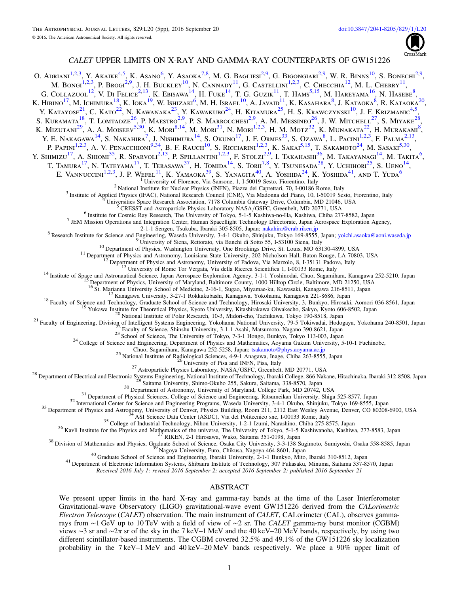

### CALET UPPER LIMITS ON X-RAY AND GAMMA-RAY COUNTERPARTS OF GW151226

<span id="page-2-40"></span><span id="page-2-39"></span><span id="page-2-38"></span><span id="page-2-37"></span><span id="page-2-36"></span><span id="page-2-35"></span><span id="page-2-34"></span><span id="page-2-33"></span><span id="page-2-32"></span><span id="page-2-31"></span><span id="page-2-30"></span><span id="page-2-29"></span><span id="page-2-28"></span><span id="page-2-27"></span><span id="page-2-26"></span><span id="page-2-25"></span><span id="page-2-24"></span><span id="page-2-23"></span><span id="page-2-22"></span><span id="page-2-21"></span><span id="page-2-20"></span><span id="page-2-19"></span><span id="page-2-18"></span><span id="page-2-17"></span><span id="page-2-16"></span><span id="page-2-15"></span><span id="page-2-14"></span><span id="page-2-13"></span><span id="page-2-12"></span><span id="page-2-11"></span><span id="page-2-10"></span><span id="page-2-9"></span><span id="page-2-8"></span><span id="page-2-7"></span><span id="page-2-6"></span><span id="page-2-5"></span><span id="page-2-4"></span><span id="page-2-3"></span><span id="page-2-2"></span><span id="page-2-1"></span><span id="page-2-0"></span>O. ADRIANI<sup>[1,](#page-2-0)[2,](#page-2-1)[3](#page-2-2)</sup>, Y. AKAIKE<sup>[4,](#page-2-3)[5](#page-2-4)</sup>, K. ASANO<sup>[6](#page-2-5)</sup>, Y. ASAOKA<sup>[7,](#page-2-6)[8](#page-2-7)</sup>, M. G. BAGLIESI<sup>2,[9](#page-2-8)</sup>, G. BIGONGIARI<sup>2,9</sup>, W. R. BINNS<sup>[10](#page-2-9)</sup>, S. BONECHI<sup>2,9</sup>, M. Bongi<sup>[1,](#page-2-0)[2,](#page-2-1)[3](#page-2-2)</sup>, P. Brogi<sup>2,[9](#page-2-8)</sup>, J. H. Buckley<sup>[10](#page-2-9)</sup>, N. Cannady<sup>[11](#page-2-10)</sup>, G. Castellini<sup>1,2,3</sup>, C. Checchia<sup>[12](#page-2-11)</sup>, M. L. Cherry<sup>11</sup>, G. COLLAZUOL<sup>[12](#page-2-11)</sup>, V. DI FELICE<sup>[2,](#page-2-1)[13](#page-2-12)</sup>, K. Ebisawa<sup>[14](#page-2-13)</sup>, H. Fuke<sup>14</sup>, T. G. Guzik<sup>[11](#page-2-10)</sup>, T. Hams<sup>[5,](#page-2-4)[15](#page-2-14)</sup>, M. Hareyama<sup>[16](#page-2-15)</sup>, N. Hasebe<sup>[8](#page-2-7)</sup>, K. Hibino $^{17}$  $^{17}$  $^{17}$ , M. Ichimura $^{18}$  $^{18}$  $^{18}$ , K. Ioka $^{19}$  $^{19}$  $^{19}$ , W. Ishizaki $^{6}$  $^{6}$  $^{6}$ , M. H. Israel $^{10}$  $^{10}$  $^{10}$ , A. Javaid $^{11}$  $^{11}$  $^{11}$ , K. Kasahara $^{8}$  $^{8}$  $^{8}$ , J. Kataoka $^{8}$ , R. Kataoka $^{20}$  $^{20}$  $^{20}$ , Y. KATAYOSE<sup>[21](#page-2-20)</sup>, C. KATO<sup>[22](#page-2-21)</sup>, N. KAWANAKA<sup>[23](#page-2-22)</sup>, Y. KAWAKUBO<sup>[24](#page-2-23)</sup>, H. KITAMURA<sup>[25](#page-2-24)</sup>, H. S. KRAWCZYNSKI<sup>[10](#page-2-9)</sup>, J. F. KRIZMANIC<sup>[4,](#page-2-3)[5](#page-2-4)</sup> , S. KURAMATA<sup>[18](#page-2-17)</sup>, T. LOMTADZE<sup>[26](#page-2-25)</sup>, P. MAESTRO<sup>[2,](#page-2-1)[9](#page-2-8)</sup>, P. S. MARROCCHESI<sup>2,9</sup>, A. M. MESSINEO<sup>26</sup>, J. W. MITCHELL<sup>[27](#page-2-26)</sup>, S. MIYAKE<sup>[28](#page-2-27)</sup>, K. Mizutani<sup>[29](#page-2-28)</sup>, A. A. Moiseev<sup>[5,](#page-2-4)[30](#page-2-29)</sup>, K. Mori<sup>[8,](#page-2-7)[14](#page-2-13)</sup>, M. Mori<sup>[31](#page-2-30)</sup>, N. Mori<sup>[1,](#page-2-0)[2,](#page-2-1)[3](#page-2-2)</sup>, H. M. Motz<sup>[32](#page-2-31)</sup>, K. Munakata<sup>[22](#page-2-21)</sup>, H. Murakami<sup>[8](#page-2-7)</sup>, Y. E. Nakagawa<sup>[14](#page-2-13)</sup>, S. Nakahira<sup>[7](#page-2-6)</sup>, J. Nishimura<sup>14</sup>, S. Okuno<sup>[17](#page-2-16)</sup>, J. F. Ormes<sup>[33](#page-2-32)</sup>, S. Ozawa<sup>[8](#page-2-7)</sup>, L. Pacini<sup>[1,](#page-2-0)[2,](#page-2-1)[3](#page-2-2)</sup>, F. Palma<sup>2,[13](#page-2-12)</sup>, P. Papini<sup>[1,](#page-2-0)[2,](#page-2-1)[3](#page-2-2)</sup>, A. V. Penacchioni<sup>[9,](#page-2-8)[34](#page-2-33)</sup>, B. F. Rauch<sup>[10](#page-2-9)</sup>, S. Ricciarini<sup>1,2,3</sup>, K. Sakai<sup>[5,](#page-2-4)[15](#page-2-14)</sup>, T. Sakamoto<sup>[24](#page-2-23)</sup>, M. Sasaki<sup>5,[30](#page-2-29)</sup>, Y. Shimizu<sup>[17](#page-2-16)</sup>, A. Shiomi<sup>[35](#page-2-34)</sup>, R. Sparvoli<sup>[2,](#page-2-1)[13](#page-2-12)</sup>, P. Spillantini<sup>[1,](#page-2-0)2,[3](#page-2-2)</sup>, F. Stolzi<sup>2,[9](#page-2-8)</sup>, I. Takahashi<sup>[36](#page-2-35)</sup>, M. Takayanagi<sup>[14](#page-2-13)</sup>, M. Takita<sup>[6](#page-2-5)</sup>, T. Tamura<sup>[17](#page-2-16)</sup>, N. Tateyama<sup>17</sup>, T. Terasawa<sup>[37](#page-2-36)</sup>, H. Tomida<sup>[14](#page-2-13)</sup>, S. Torii<sup>[7,](#page-2-6)[8](#page-2-7)</sup>, Y. Tsunesada<sup>[38](#page-2-37)</sup>, Y. Uchihori<sup>[25](#page-2-24)</sup>, S. Ueno<sup>14</sup>, E. Vannuccini<sup>[1,](#page-2-0)[2,](#page-2-1)[3](#page-2-2)</sup>, J. P. Wefel<sup>[11](#page-2-10)</sup>, K. Yamaoka<sup>[39](#page-2-38)</sup>, S. Yanagita<sup>[40](#page-2-39)</sup>, A. Yoshida<sup>[24](#page-2-23)</sup>, K. Yoshida<sup>[41](#page-2-40)</sup>, and T. Yuda<sup>[6](#page-2-5)</sup> <sup>2</sup> University of Florence, Via Sansone, 1, 1-50019 Sesto, Fiorentino, Italy<br><sup>2</sup> National Institute for Nuclear Physics (INFN), Piazza dei Caprettari, 70, 1-00186 Rome, Italy<br><sup>2</sup> National Institute for Nuclear Physics (INF <sup>8</sup> Research Institute for Science and Engineering, Waseda University, 3-4-1 Okubo, Shinjuku, Tokyo 169-8555, Japan; [yoichi.asaoka@aoni.waseda.jp](mailto:yoichi.asaoka@aoni.waseda.jp)<br><sup>8</sup> University of Siena, Rettorato, via Banchi di Sotto 55, 1-53100 Siena, <sup>1/3</sup> Kanagawa University, 3-27-1 Rokkakubashi, Kanagawa, Yokohama, Kanagawa 221-8686, Japan<br><sup>19</sup> Yukawa Institute for Theoretical Physics, Kyoto University, Kitashirakawa Oiwakecho, Sakyo, Kyoto 60-8502, Japan<br><sup>20</sup> Yukaw 25 National Institute of Radiological Sciences, 4-9-1 Anagawa, Inage, Chiba 263-8555, Japan<br>
25 National Institute of Radiological Sciences, 4-9-1 Anagawa, Inage, Chiba 263-8555, Japan<br>
26 University of Pisa and NINN, Pis Received 2016 July 1; revised 2016 September 2; accepted 2016 September 2; published 2016 September 21 ABSTRACT We present upper limits in the hard X-ray and gamma-ray bands at the time of the Laser Interferometer Gravitational-wave Observatory (LIGO) gravitational-wave event GW151226 derived from the CALorimetric Electron Telescope (CALET) observation. The main instrument of CALET, CALorimeter (CAL), observes gammarays from ∼1 GeV up to 10 TeV with a field of view of ∼2 sr. The CALET gamma-ray burst monitor (CGBM) views ∼3 sr and ∼2π sr of the sky in the 7 keV–1 MeV and the 40 keV–20 MeV bands, respectively, by using two different scintillator-based instruments. The CGBM covered 32.5% and 49.1% of the GW151226 sky localization probability in the 7 keV–1 MeV and 40 keV–20 MeV bands respectively. We place a 90% upper limit of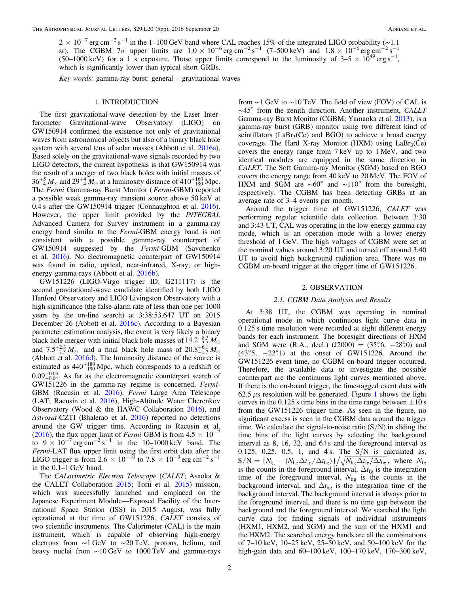$2 \times 10^{-7}$  erg cm<sup>-2</sup> s<sup>-1</sup> in the 1–100 GeV band where CAL reaches 15% of the integrated LIGO probability (~1.1) sr). The CGBM 7 $\sigma$  upper limits are  $1.0 \times 10^{-6}$  erg cm<sup>-2</sup> s<sup>-1</sup> (7–500 keV) and  $1.8 \times 10^{-6}$  erg cm<sup>-2</sup> s<sup>-1</sup> (50–1000 keV) for a 1 s exposure. Those upper limits correspond to the luminosity of  $3-5 \times 10^{49}$  erg s<sup>-1</sup>, which is significantly lower than typical short GRBs.

Key words: gamma-ray burst: general – gravitational waves

#### 1. INTRODUCTION

The first gravitational-wave detection by the Laser Interferometer Gravitational-wave Observatory (LIGO) on GW150914 confirmed the existence not only of gravitational waves from astronomical objects but also of a binary black hole system with several tens of solar masses (Abbott et al. [2016a](#page-6-0)). Based solely on the gravitational-wave signals recorded by two LIGO detectors, the current hypothesis is that GW150914 was the result of a merger of two black holes with initial masses of  $36^{+5}_{-4} M_{\odot}$  and  $29^{+4}_{-4} M_{\odot}$  at a luminosity distance of  $410^{+160}_{-180}$  Mpc. The Fermi Gamma-ray Burst Monitor (Fermi-GBM) reported a possible weak gamma-ray transient source above 50 keV at 0.4 s after the GW150914 trigger (Connaughton et al. [2016](#page-6-1)). However, the upper limit provided by the INTEGRAL Advanced Camera for Survey instrument in a gamma-ray energy band similar to the Fermi-GBM energy band is not consistent with a possible gamma-ray counterpart of GW150914 suggested by the Fermi-GBM (Savchenko et al. [2016](#page-6-2)). No electromagnetic counterpart of GW150914 was found in radio, optical, near-infrared, X-ray, or highenergy gamma-rays (Abbott et al. [2016b](#page-6-3)).

GW151226 (LIGO-Virgo trigger ID: G211117) is the second gravitational-wave candidate identified by both LIGO Hanford Observatory and LIGO Livingston Observatory with a high significance (the false-alarm rate of less than one per 1000 years by the on-line search) at 3:38:53.647 UT on 2015 December 26 (Abbott et al. [2016c](#page-6-4)). According to a Bayesian parameter estimation analysis, the event is very likely a binary black hole merger with initial black hole masses of  $14.2^{+8.3}_{-3.7}$   $M_{\odot}$ and  $7.5^{+2.3}_{-2.3} M_{\odot}$  and a final black hole mass of  $20.8^{+6.1}_{-1.7} M_{\odot}$ (Abbott et al. [2016d](#page-6-5)). The luminosity distance of the source is estimated as  $440^{+180}_{-190}$  Mpc, which corresponds to a redshift of  $0.09_{-0.04}^{+0.03}$ . As far as the electromagnetic counterpart search of GW151226 in the gamma-ray regime is concerned, Fermi-GBM (Racusin et al. [2016](#page-6-6)), Fermi Large Area Telescope (LAT; Racusin et al. [2016](#page-6-6)), High-Altitude Water Cherenkov Observatory (Wood & the HAWC Collaboration [2016](#page-6-7)), and Astrosat-CZTI (Bhalerao et al. [2016](#page-6-8)) reported no detections around the GW trigger time. According to Racusin et al. ([2016](#page-6-6)), the flux upper limit of *Fermi*-GBM is from  $4.5 \times 10^{-7}$ to  $9 \times 10^{-7}$  erg cm<sup>-2</sup> s<sup>-1</sup> in the 10–1000 keV band. The Fermi-LAT flux upper limit using the first orbit data after the LIGO trigger is from 2.6  $\times$  10<sup>-10</sup> to 7.8  $\times$  10<sup>-9</sup> erg cm<sup>-2</sup> s<sup>-1</sup> in the 0.1–1 GeV band.

The CALorimetric Electron Telescope (CALET; Asaoka & the CALET Collaboration [2015](#page-6-9); Torii et al. [2015](#page-6-10)) mission, which was successfully launched and emplaced on the Japanese Experiment Module—Exposed Facility of the International Space Station (ISS) in 2015 August, was fully operational at the time of GW151226. CALET consists of two scientific instruments. The Calorimeter (CAL) is the main instrument, which is capable of observing high-energy electrons from ∼1 GeV to ∼20 TeV, protons, helium, and heavy nuclei from ∼10 GeV to 1000 TeV and gamma-rays

from ∼1 GeV to ∼10 TeV. The field of view (FOV) of CAL is ∼45° from the zenith direction. Another instrument, CALET Gamma-ray Burst Monitor (CGBM; Yamaoka et al. [2013](#page-6-11)), is a gamma-ray burst (GRB) monitor using two different kind of scintillators ( $LaBr<sub>3</sub>(Ce)$  and  $BGO$ ) to achieve a broad energy coverage. The Hard X-ray Monitor (HXM) using  $LaBr<sub>3</sub>(Ce)$ covers the energy range from 7 keV up to 1 MeV, and two identical modules are equipped in the same direction in CALET. The Soft Gamma-ray Monitor (SGM) based on BGO covers the energy range from 40 keV to 20 MeV. The FOV of HXM and SGM are ∼60° and ∼110° from the boresight, respectively. The CGBM has been detecting GRBs at an average rate of 3–4 events per month.

Around the trigger time of GW151226, CALET was performing regular scientific data collection. Between 3:30 and 3:43 UT, CAL was operating in the low-energy gamma-ray mode, which is an operation mode with a lower energy threshold of 1 GeV. The high voltages of CGBM were set at the nominal values around 3:20 UT and turned off around 3:40 UT to avoid high background radiation area. There was no CGBM on-board trigger at the trigger time of GW151226.

#### 2. OBSERVATION

#### 2.1. CGBM Data Analysis and Results

At 3:38 UT, the CGBM was operating in nominal operational mode in which continuous light curve data in 0.125 s time resolution were recorded at eight different energy bands for each instrument. The boresight directions of HXM and SGM were (R.A., decl.) (J2000) =  $(35\degree6, -28\degree0)$  and  $(43^\circ, 5, -22^\circ, 1)$  at the onset of GW151226. Around the GW151226 event time, no CGBM on-board trigger occurred. Therefore, the available data to investigate the possible counterpart are the continuous light curves mentioned above. If there is the on-board trigger, the time-tagged event data with 62.5  $\mu$ s resolution will be generated. Figure [1](#page-4-0) shows the light curves in the 0.125 s time bins in the time range between  $\pm 10$  s from the GW151226 trigger time. As seen in the figure, no significant excess is seen in the CGBM data around the trigger time. We calculate the signal-to-noise ratio  $(S/N)$  in sliding the time bins of the light curves by selecting the background interval as 8, 16, 32, and 64 s and the foreground interval as 0.125, 0.25, 0.5, 1, and 4 s. The  $S/N$  is calculated as,  $S/N = \left\{ N_{\text{fg}} - (N_{\text{bg}} \Delta t_{\text{fg}} / \Delta t_{\text{bg}}) \right\} / \sqrt{N_{\text{bg}} \Delta t_{\text{fg}} / \Delta t_{\text{bg}}}$ , where  $N_{\text{fg}}$ is the counts in the foreground interval,  $\Delta t_{fg}$  is the integration time of the foreground interval,  $N_{bg}$  is the counts in the background interval, and  $\Delta t_{\text{bg}}$  is the integration time of the background interval. The background interval is always prior to the foreground interval, and there is no time gap between the background and the foreground interval. We searched the light curve data for finding signals of individual instruments (HXM1, HXM2, and SGM) and the sum of the HXM1 and the HXM2. The searched energy bands are all the combinations of 7–10 keV, 10–25 keV, 25–50 keV, and 50–100 keV for the high-gain data and 60–100 keV, 100–170 keV, 170–300 keV,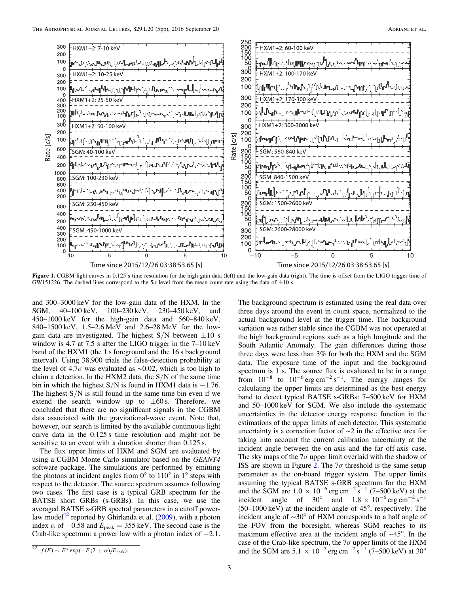<span id="page-4-0"></span>

Figure 1. CGBM light curves in 0.125 s time resolution for the high-gain data (left) and the low-gain data (right). The time is offset from the LIGO trigger time of GW151226. The dashed lines correspond to the  $5\sigma$  level from the mean count rate using the data of  $\pm 10$  s.

and 300–3000 keV for the low-gain data of the HXM. In the SGM, 40–100 keV, 100–230 keV, 230–450 keV, and 450–1000 keV for the high-gain data and 560–840 keV, 840–1500 keV, 1.5–2.6 MeV and 2.6–28 MeV for the lowgain data are investigated. The highest  $S/N$  between  $\pm 10$  s window is 4.7 at 7.5 s after the LIGO trigger in the 7–10 keV band of the HXM1 (the 1 s foreground and the 16 s background interval). Using 38,900 trials the false-detection probability at the level of 4.7 $\sigma$  was evaluated as ~0.02, which is too high to claim a detection. In the HXM2 data, the  $S/N$  of the same time bin in which the highest  $S/N$  is found in HXM1 data is  $-1.76$ . The highest  $S/N$  is still found in the same time bin even if we extend the search window up to  $\pm 60$  s. Therefore, we concluded that there are no significant signals in the CGBM data associated with the gravitational-wave event. Note that, however, our search is limited by the available continuous light curve data in the 0.125 s time resolution and might not be sensitive to an event with a duration shorter than  $0.125$  s.

The flux upper limits of HXM and SGM are evaluated by using a CGBM Monte Carlo simulator based on the GEANT4 software package. The simulations are performed by emitting the photons at incident angles from  $0^{\circ}$  to  $110^{\circ}$  in  $1^{\circ}$  steps with respect to the detector. The source spectrum assumes following two cases. The first case is a typical GRB spectrum for the BATSE short GRBs (s-GRBs). In this case, we use the averaged BATSE s-GRB spectral parameters in a cutoff power-law model<sup>[42](#page-4-1)</sup> reported by Ghirlanda et al.  $(2009)$  $(2009)$  $(2009)$ , with a photon index  $\alpha$  of  $-0.58$  and  $E_{\text{peak}} = 355 \text{ keV}$ . The second case is the Crab-like spectrum: a power law with a photon index of −2.1.

The background spectrum is estimated using the real data over

three days around the event in count space, normalized to the actual background level at the trigger time. The background variation was rather stable since the CGBM was not operated at the high background regions such as a high longitude and the South Atlantic Anomaly. The gain differences during those three days were less than 3% for both the HXM and the SGM data. The exposure time of the input and the background spectrum is 1 s. The source flux is evaluated to be in a range from  $10^{-8}$  to  $10^{-6}$  erg cm<sup>-2</sup> s<sup>-1</sup>. The energy ranges for calculating the upper limits are determined as the best energy band to detect typical BATSE s-GRBs: 7–500 keV for HXM and 50–1000 keV for SGM. We also include the systematic uncertainties in the detector energy response function in the estimations of the upper limits of each detector. This systematic uncertainty is a correction factor of ∼2 in the effective area for taking into account the current calibration uncertainty at the incident angle between the on-axis and the far off-axis case. The sky maps of the  $7\sigma$  upper limit overlaid with the shadow of ISS are shown in Figure [2](#page-5-0). The  $7\sigma$  threshold is the same setup parameter as the on-board trigger system. The upper limits assuming the typical BATSE s-GRB spectrum for the HXM and the SGM are  $1.0 \times 10^{-6}$  erg cm<sup>-2</sup> s<sup>-1</sup> (7–500 keV) at the incident angle of  $30^{\circ}$  and  $1.8 \times 10^{-6}$  erg cm<sup>-2</sup> s<sup>-1</sup> (50–1000 keV) at the incident angle of 45°, respectively. The incident angle of ∼30° of HXM corresponds to a half angle of the FOV from the boresight, whereas SGM reaches to its maximum effective area at the incident angle of ∼45°. In the case of the Crab-like spectrum, the  $7\sigma$  upper limits of the HXM and the SGM are  $5.1 \times 10^{-7}$  erg cm<sup>-2</sup> s<sup>-1</sup> (7–500 keV) at 30<sup>°</sup>

<span id="page-4-1"></span> $^{42} f(E) \sim E^{\alpha} \exp(-E(2 + \alpha)/E_{\text{peak}}).$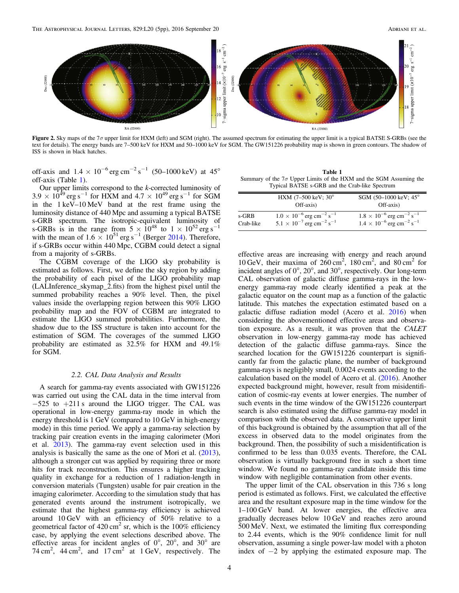<span id="page-5-0"></span>

Figure 2. Sky maps of the 7σ upper limit for HXM (left) and SGM (right). The assumed spectrum for estimating the upper limit is a typical BATSE S-GRBs (see the text for details). The energy bands are 7–500 keV for HXM and 50–1000 keV for SGM. The GW151226 probability map is shown in green contours. The shadow of ISS is shown in black hatches.

off-axis and  $1.4 \times 10^{-6}$  erg cm<sup>-2</sup> s<sup>-1</sup> (50–1000 keV) at 45° off-axis (Table [1](#page-5-1)).

Our upper limits correspond to the k-corrected luminosity of  $3.9 \times 10^{49}$  erg s<sup>-1</sup> for HXM and  $4.7 \times 10^{49}$  erg s<sup>-1</sup> for SGM in the 1 keV–10 MeV band at the rest frame using the luminosity distance of 440 Mpc and assuming a typical BATSE s-GRB spectrum. The isotropic-equivalent luminosity of s-GRBs is in the range from  $5 \times 10^{48}$  to  $1 \times 10^{52}$  erg s<sup>-1</sup> with the mean of  $1.6 \times 10^{51}$  erg s<sup>−1</sup> (Berger [2014](#page-6-13)). Therefore, if s-GRBs occur within 440 Mpc, CGBM could detect a signal from a majority of s-GRBs.

The CGBM coverage of the LIGO sky probability is estimated as follows. First, we define the sky region by adding the probability of each pixel of the LIGO probability map (LALInference\_skymap\_2.fits) from the highest pixel until the summed probability reaches a 90% level. Then, the pixel values inside the overlapping region between this 90% LIGO probability map and the FOV of CGBM are integrated to estimate the LIGO summed probabilities. Furthermore, the shadow due to the ISS structure is taken into account for the estimation of SGM. The coverages of the summed LIGO probability are estimated as 32.5% for HXM and 49.1% for SGM.

#### 2.2. CAL Data Analysis and Results

A search for gamma-ray events associated with GW151226 was carried out using the CAL data in the time interval from −525 to +211 s around the LIGO trigger. The CAL was operational in low-energy gamma-ray mode in which the energy threshold is 1 GeV (compared to 10 GeV in high-energy mode) in this time period. We apply a gamma-ray selection by tracking pair creation events in the imaging calorimeter (Mori et al. [2013](#page-6-14)). The gamma-ray event selection used in this analysis is basically the same as the one of Mori et al. ([2013](#page-6-14)), although a stronger cut was applied by requiring three or more hits for track reconstruction. This ensures a higher tracking quality in exchange for a reduction of 1 radiation-length in conversion materials (Tungsten) usable for pair creation in the imaging calorimeter. According to the simulation study that has generated events around the instrument isotropically, we estimate that the highest gamma-ray efficiency is achieved around 10 GeV with an efficiency of 50% relative to a geometrical factor of  $420 \text{ cm}^2$  sr, which is the 100% efficiency case, by applying the event selections described above. The effective areas for incident angles of 0°, 20°, and 30° are 74 cm<sup>2</sup>, 44 cm<sup>2</sup>, and 17 cm<sup>2</sup> at 1 GeV, respectively. The

<span id="page-5-1"></span>

| Table 1                                                                   |
|---------------------------------------------------------------------------|
| Summary of the $7\sigma$ Upper Limits of the HXM and the SGM Assuming the |
| Typical BATSE s-GRB and the Crab-like Spectrum                            |

|           | HXM $(7-500 \text{ keV}; 30^{\circ})$<br>Off-axis)        | SGM (50-1000 keV; 45°<br>Off-axis)                        |
|-----------|-----------------------------------------------------------|-----------------------------------------------------------|
| s-GRB     | $1.0 \times 10^{-6}$ erg cm <sup>-2</sup> s <sup>-1</sup> | $1.8 \times 10^{-6}$ erg cm <sup>-2</sup> s <sup>-1</sup> |
| Crab-like | $5.1 \times 10^{-7}$ erg cm <sup>-2</sup> s <sup>-1</sup> | $1.4 \times 10^{-6}$ erg cm <sup>-2</sup> s <sup>-1</sup> |

effective areas are increasing with energy and reach around 10 GeV, their maxima of  $260 \text{ cm}^2$ ,  $180 \text{ cm}^2$ , and  $80 \text{ cm}^2$  for incident angles of 0°, 20°, and 30°, respectively. Our long-term CAL observation of galactic diffuse gamma-rays in the lowenergy gamma-ray mode clearly identified a peak at the galactic equator on the count map as a function of the galactic latitude. This matches the expectation estimated based on a galactic diffuse radiation model (Acero et al. [2016](#page-6-15)) when considering the abovementioned effective areas and observation exposure. As a result, it was proven that the CALET observation in low-energy gamma-ray mode has achieved detection of the galactic diffuse gamma-rays. Since the searched location for the GW151226 counterpart is significantly far from the galactic plane, the number of background gamma-rays is negligibly small, 0.0024 events according to the calculation based on the model of Acero et al. ([2016](#page-6-15)). Another expected background might, however, result from misidentification of cosmic-ray events at lower energies. The number of such events in the time window of the GW151226 counterpart search is also estimated using the diffuse gamma-ray model in comparison with the observed data. A conservative upper limit of this background is obtained by the assumption that all of the excess in observed data to the model originates from the background. Then, the possibility of such a misidentification is confirmed to be less than 0.035 events. Therefore, the CAL observation is virtually background free in such a short time window. We found no gamma-ray candidate inside this time window with negligible contamination from other events.

The upper limit of the CAL observation in this 736 s long period is estimated as follows. First, we calculated the effective area and the resultant exposure map in the time window for the 1–100 GeV band. At lower energies, the effective area gradually decreases below 10 GeV and reaches zero around 500 MeV. Next, we estimated the limiting flux corresponding to 2.44 events, which is the 90% confidence limit for null observation, assuming a single power-law model with a photon index of  $-2$  by applying the estimated exposure map. The